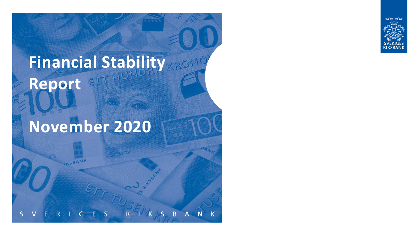

# **Financial Stability**  Report ETT HUNL

# **November 2020**

AKSBANK

B N  $\mathsf{A}$ G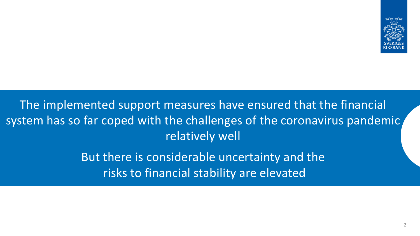

The implemented support measures have ensured that the financial system has so far coped with the challenges of the coronavirus pandemic relatively well

> But there is considerable uncertainty and the risks to financial stability are elevated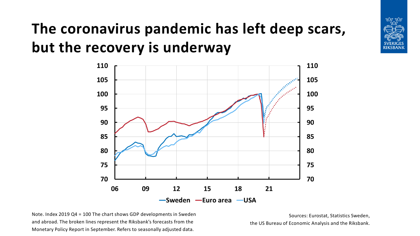# **The coronavirus pandemic has left deep scars, but the recovery is underway**



Note. Index 2019 Q4 = 100 The chart shows GDP developments in Sweden and abroad. The broken lines represent the Riksbank's forecasts from the Monetary Policy Report in September. Refers to seasonally adjusted data.

Sources: Eurostat, Statistics Sweden, the US Bureau of Economic Analysis and the Riksbank. <u>tod tod</u>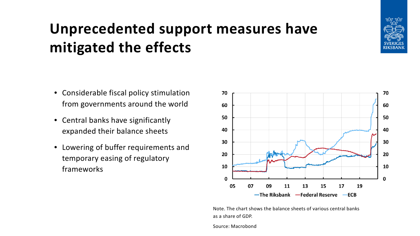# **Unprecedented support measures have mitigated the effects**

- Considerable fiscal policy stimulation from governments around the world
- Central banks have significantly expanded their balance sheets
- Lowering of buffer requirements and temporary easing of regulatory frameworks



Note. The chart shows the balance sheets of various central banks as a share of GDP.

Source: Macrobond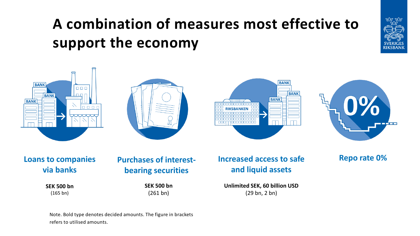# **A combination of measures most effective to support the economy**



**Loans to companies via banks**

 $\Box$ 

**BANK** 

**BANK** 

**BANK** 

**Purchases of interestbearing securities**

### **Increased access to safe and liquid assets**

**SEK 500 bn** (165 bn)

**SEK 500 bn** (261 bn)

**Unlimited SEK, 60 billion USD** (29 bn, 2 bn)

Note. Bold type denotes decided amounts. The figure in brackets refers to utilised amounts.

**Repo rate 0%**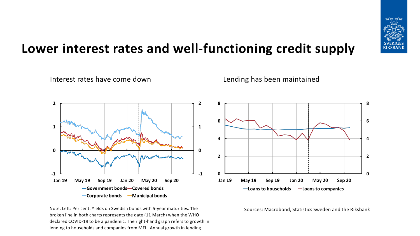

### **Lower interest rates and well-functioning credit supply**



Note. Left: Per cent. Yields on Swedish bonds with 5-year maturities. The broken line in both charts represents the date (11 March) when the WHO declared COVID-19 to be a pandemic. The right-hand graph refers to growth in lending to households and companies from MFI. Annual growth in lending.





Sources: Macrobond, Statistics Sweden and the Riksbank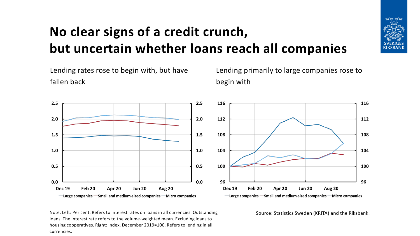

### **No clear signs of a credit crunch, but uncertain whether loans reach all companies**



Note. Left: Per cent. Refers to interest rates on loans in all currencies. Outstanding loans. The interest rate refers to the volume-weighted mean. Excluding loans to housing cooperatives. Right: Index, December 2019=100. Refers to lending in all currencies.

Lending primarily to large companies rose to



Source: Statistics Sweden (KRITA) and the Riksbank.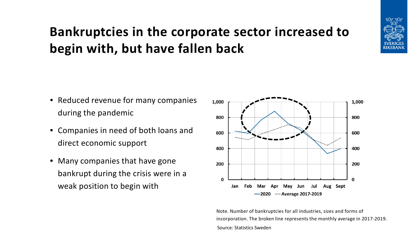### **Bankruptcies in the corporate sector increased to begin with, but have fallen back**



- Reduced revenue for many companies during the pandemic
- Companies in need of both loans and direct economic support
- Many companies that have gone bankrupt during the crisis were in a weak position to begin with



Note. Number of bankruptcies for all industries, sizes and forms of incorporation. The broken line represents the monthly average in 2017-2019. Source: Statistics Sweden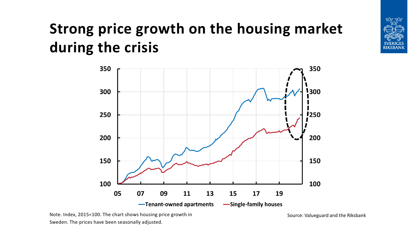# **Strong price growth on the housing market during the crisis**



Note. Index, 2015=100. The chart shows housing price growth in Sweden. The prices have been seasonally adjusted.

Source: Valueguard and the Riksbank

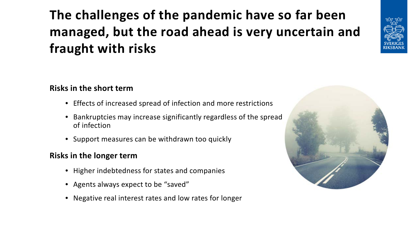### **The challenges of the pandemic have so far been managed, but the road ahead is very uncertain and fraught with risks**



#### **Risks in the short term**

- Effects of increased spread of infection and more restrictions
- Bankruptcies may increase significantly regardless of the spread of infection
- Support measures can be withdrawn too quickly

#### **Risks in the longer term**

- Higher indebtedness for states and companies
- Agents always expect to be "saved"
- Negative real interest rates and low rates for longer

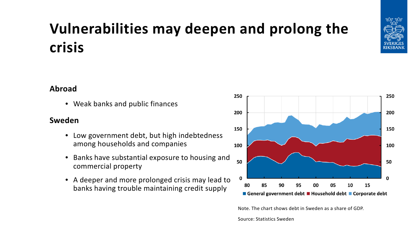## **Vulnerabilities may deepen and prolong the crisis**



• Weak banks and public finances

#### **Sweden**

- Low government debt, but high indebtedness among households and companies
- Banks have substantial exposure to housing and commercial property
- A deeper and more prolonged crisis may lead to banks having trouble maintaining credit supply



Note. The chart shows debt in Sweden as a share of GDP.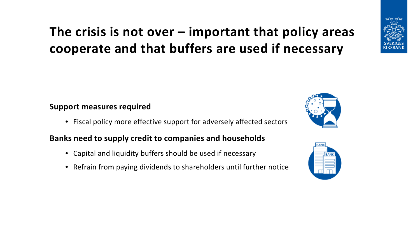### **The crisis is not over – important that policy areas cooperate and that buffers are used if necessary**



#### **Support measures required**

• Fiscal policy more effective support for adversely affected sectors

#### **Banks need to supply credit to companies and households**

- Capital and liquidity buffers should be used if necessary
- Refrain from paying dividends to shareholders until further notice



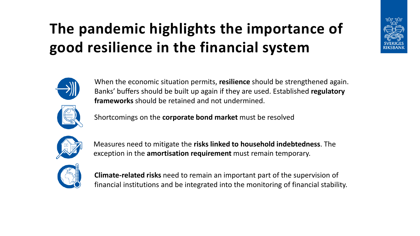# **The pandemic highlights the importance of good resilience in the financial system**



When the economic situation permits, **resilience** should be strengthened again. Banks' buffers should be built up again if they are used. Established **regulatory frameworks** should be retained and not undermined.



Shortcomings on the **corporate bond market** must be resolved



Measures need to mitigate the **risks linked to household indebtedness**. The exception in the **amortisation requirement** must remain temporary.



**Climate-related risks** need to remain an important part of the supervision of financial institutions and be integrated into the monitoring of financial stability.